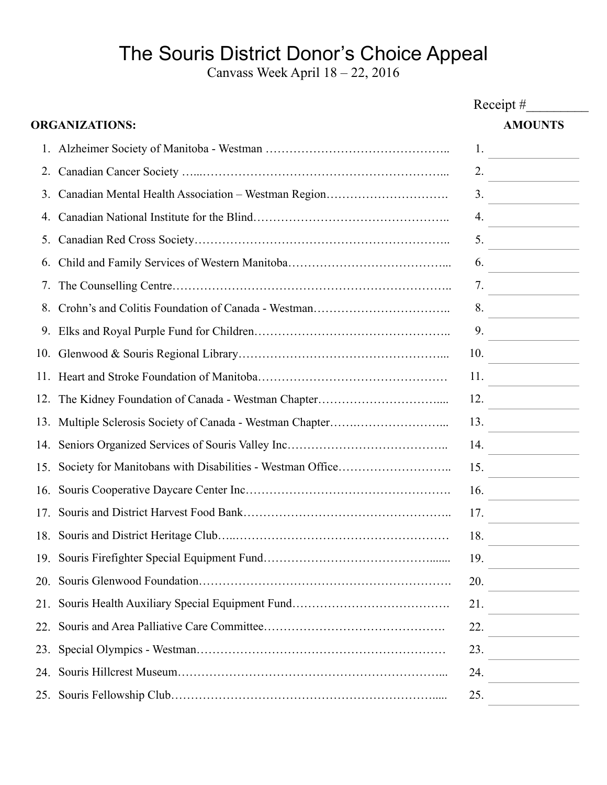## The Souris District Donor's Choice Appeal

Canvass Week April 18 – 22, 2016

| <b>ORGANIZATIONS:</b> |                                                     |                |                             |
|-----------------------|-----------------------------------------------------|----------------|-----------------------------|
|                       |                                                     | <b>AMOUNTS</b> |                             |
|                       |                                                     | 1.             |                             |
| 2.                    |                                                     |                | $\overline{\phantom{a}2.}$  |
| 3.                    | Canadian Mental Health Association - Westman Region |                | $\overline{\phantom{a}3.}$  |
| 4.                    |                                                     |                | $\overline{4}$ .            |
| 5.                    |                                                     | 5.             |                             |
| 6.                    |                                                     | 6.             |                             |
| 7.                    |                                                     |                | 7.                          |
| 8.                    |                                                     | 8.             |                             |
| 9.                    |                                                     | 9.             |                             |
|                       |                                                     |                | 10. $\qquad \qquad$         |
|                       |                                                     |                | 11. $\qquad \qquad$         |
|                       |                                                     |                | $\overline{\phantom{a}12.}$ |
|                       |                                                     |                | $\frac{13.}{\sqrt{111}}$    |
|                       |                                                     |                | 14.                         |
|                       |                                                     | 15.            |                             |
|                       |                                                     | 16.            |                             |
| 17.                   |                                                     | 17.            |                             |
|                       |                                                     | 18.            |                             |
|                       |                                                     | 19.            |                             |
|                       |                                                     | 20.            |                             |
|                       |                                                     | 21.            |                             |
|                       |                                                     |                | 22.                         |
| 23.                   |                                                     | 23.            |                             |
|                       |                                                     | 24.            |                             |
|                       |                                                     | 25.            |                             |